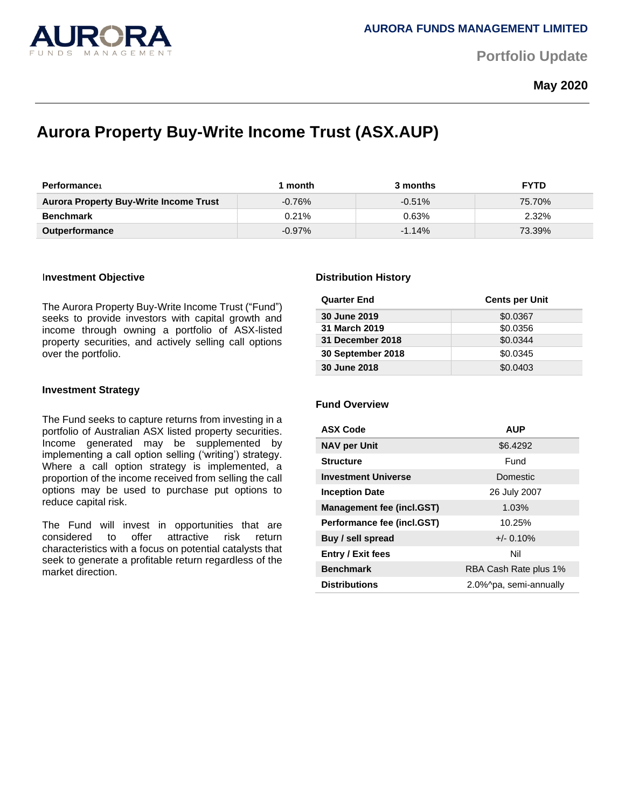

**Portfolio Update** 

**May 2020**

# **Aurora Property Buy-Write Income Trust (ASX.AUP)**

| <b>Performance</b>                            | month     | 3 months  | <b>FYTD</b> |
|-----------------------------------------------|-----------|-----------|-------------|
| <b>Aurora Property Buy-Write Income Trust</b> | $-0.76\%$ | $-0.51\%$ | 75.70%      |
| <b>Benchmark</b>                              | 0.21%     | 0.63%     | 2.32%       |
| <b>Outperformance</b>                         | $-0.97\%$ | $-1.14%$  | 73.39%      |

### I**nvestment Objective**

The Aurora Property Buy-Write Income Trust ("Fund") seeks to provide investors with capital growth and income through owning a portfolio of ASX-listed property securities, and actively selling call options over the portfolio.

### **Investment Strategy**

The Fund seeks to capture returns from investing in a portfolio of Australian ASX listed property securities. Income generated may be supplemented by implementing a call option selling ('writing') strategy. Where a call option strategy is implemented, a proportion of the income received from selling the call options may be used to purchase put options to reduce capital risk.

The Fund will invest in opportunities that are considered to offer attractive risk return characteristics with a focus on potential catalysts that seek to generate a profitable return regardless of the market direction.

### **Distribution History**

| <b>Quarter End</b> | <b>Cents per Unit</b> |
|--------------------|-----------------------|
| 30 June 2019       | \$0.0367              |
| 31 March 2019      | \$0.0356              |
| 31 December 2018   | \$0.0344              |
| 30 September 2018  | \$0.0345              |
| 30 June 2018       | \$0.0403              |

# **Fund Overview**

| <b>ASX Code</b>                  | <b>AUP</b>             |  |
|----------------------------------|------------------------|--|
| <b>NAV per Unit</b>              | \$6.4292               |  |
| <b>Structure</b>                 | Fund                   |  |
| <b>Investment Universe</b>       | <b>Domestic</b>        |  |
| <b>Inception Date</b>            | 26 July 2007           |  |
| <b>Management fee (incl.GST)</b> | 1.03%                  |  |
| Performance fee (incl.GST)       | 10.25%                 |  |
| Buy / sell spread                | $+/- 0.10%$            |  |
| <b>Entry / Exit fees</b>         | Nil                    |  |
| <b>Benchmark</b>                 | RBA Cash Rate plus 1%  |  |
| <b>Distributions</b>             | 2.0%^pa, semi-annually |  |